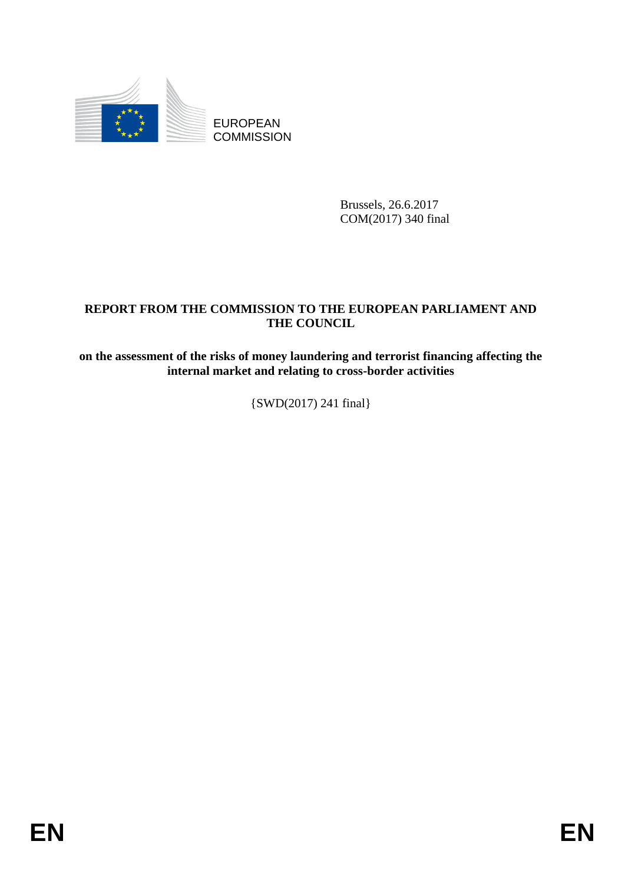

EUROPEAN **COMMISSION** 

> Brussels, 26.6.2017 COM(2017) 340 final

# **REPORT FROM THE COMMISSION TO THE EUROPEAN PARLIAMENT AND THE COUNCIL**

**on the assessment of the risks of money laundering and terrorist financing affecting the internal market and relating to cross-border activities**

{SWD(2017) 241 final}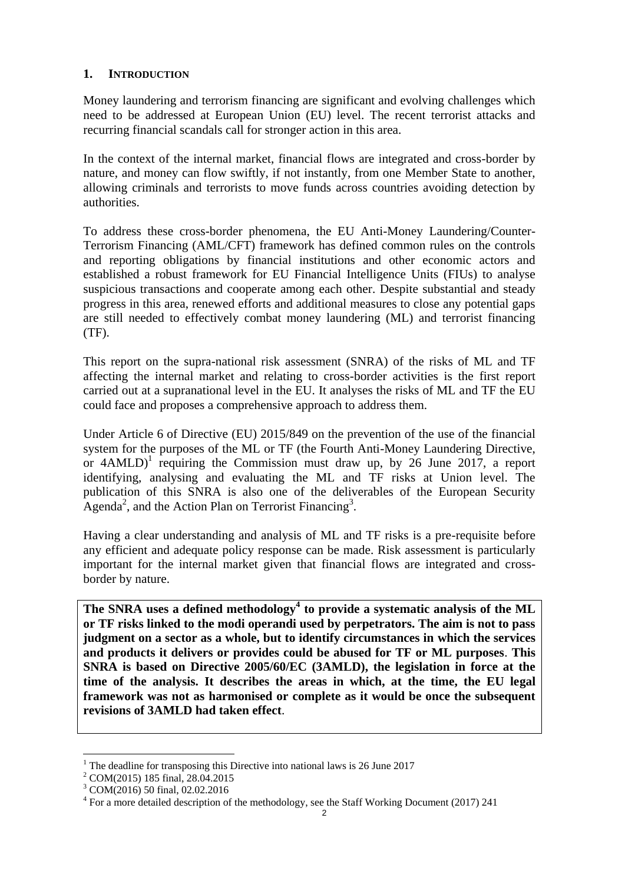### **1. INTRODUCTION**

Money laundering and terrorism financing are significant and evolving challenges which need to be addressed at European Union (EU) level. The recent terrorist attacks and recurring financial scandals call for stronger action in this area.

In the context of the internal market, financial flows are integrated and cross-border by nature, and money can flow swiftly, if not instantly, from one Member State to another, allowing criminals and terrorists to move funds across countries avoiding detection by authorities.

To address these cross-border phenomena, the EU Anti-Money Laundering/Counter-Terrorism Financing (AML/CFT) framework has defined common rules on the controls and reporting obligations by financial institutions and other economic actors and established a robust framework for EU Financial Intelligence Units (FIUs) to analyse suspicious transactions and cooperate among each other. Despite substantial and steady progress in this area, renewed efforts and additional measures to close any potential gaps are still needed to effectively combat money laundering (ML) and terrorist financing (TF).

This report on the supra-national risk assessment (SNRA) of the risks of ML and TF affecting the internal market and relating to cross-border activities is the first report carried out at a supranational level in the EU. It analyses the risks of ML and TF the EU could face and proposes a comprehensive approach to address them.

Under Article 6 of Directive (EU) 2015/849 on the prevention of the use of the financial system for the purposes of the ML or TF (the Fourth Anti-Money Laundering Directive, or  $4AMLD$ <sup>1</sup> requiring the Commission must draw up, by 26 June 2017, a report identifying, analysing and evaluating the ML and TF risks at Union level. The publication of this SNRA is also one of the deliverables of the European Security  $\text{A}$ genda<sup>2</sup>, and the Action Plan on Terrorist Financing<sup>3</sup>.

Having a clear understanding and analysis of ML and TF risks is a pre-requisite before any efficient and adequate policy response can be made. Risk assessment is particularly important for the internal market given that financial flows are integrated and crossborder by nature.

**The SNRA uses a defined methodology<sup>4</sup> to provide a systematic analysis of the ML or TF risks linked to the modi operandi used by perpetrators. The aim is not to pass judgment on a sector as a whole, but to identify circumstances in which the services and products it delivers or provides could be abused for TF or ML purposes**. **This SNRA is based on Directive 2005/60/EC (3AMLD), the legislation in force at the time of the analysis. It describes the areas in which, at the time, the EU legal framework was not as harmonised or complete as it would be once the subsequent revisions of 3AMLD had taken effect**.

 $1$ <sup>1</sup> The deadline for transposing this Directive into national laws is 26 June 2017

<sup>2</sup> COM(2015) 185 final, 28.04.2015

<sup>3</sup> COM(2016) 50 final, 02.02.2016

 $4$  For a more detailed description of the methodology, see the Staff Working Document (2017) 241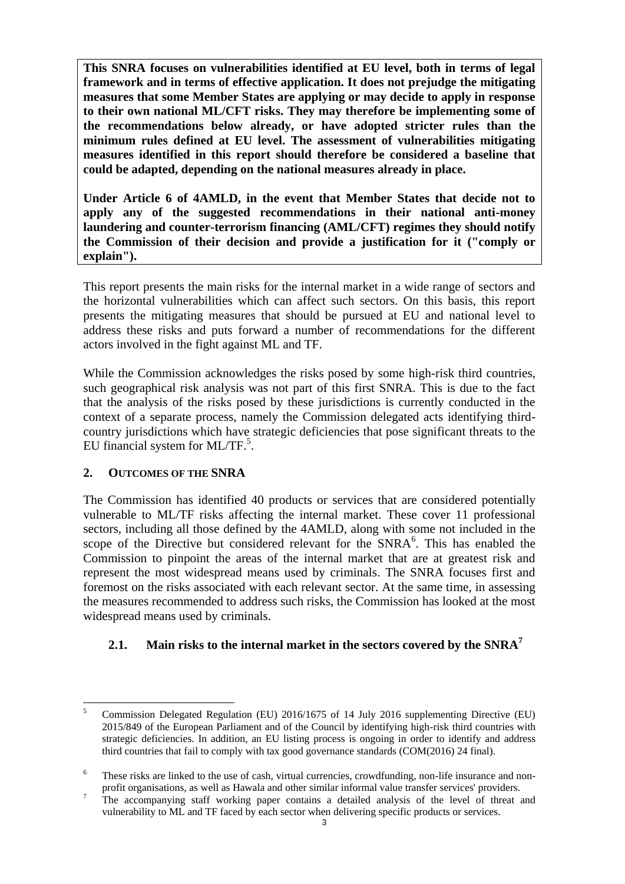**This SNRA focuses on vulnerabilities identified at EU level, both in terms of legal framework and in terms of effective application. It does not prejudge the mitigating measures that some Member States are applying or may decide to apply in response to their own national ML/CFT risks. They may therefore be implementing some of the recommendations below already, or have adopted stricter rules than the minimum rules defined at EU level. The assessment of vulnerabilities mitigating measures identified in this report should therefore be considered a baseline that could be adapted, depending on the national measures already in place.**

**Under Article 6 of 4AMLD, in the event that Member States that decide not to apply any of the suggested recommendations in their national anti-money laundering and counter-terrorism financing (AML/CFT) regimes they should notify the Commission of their decision and provide a justification for it ("comply or explain").**

This report presents the main risks for the internal market in a wide range of sectors and the horizontal vulnerabilities which can affect such sectors. On this basis, this report presents the mitigating measures that should be pursued at EU and national level to address these risks and puts forward a number of recommendations for the different actors involved in the fight against ML and TF.

While the Commission acknowledges the risks posed by some high-risk third countries, such geographical risk analysis was not part of this first SNRA. This is due to the fact that the analysis of the risks posed by these jurisdictions is currently conducted in the context of a separate process, namely the Commission delegated acts identifying thirdcountry jurisdictions which have strategic deficiencies that pose significant threats to the EU financial system for  $ML/TF$ <sup>5</sup>.

## **2. OUTCOMES OF THE SNRA**

The Commission has identified 40 products or services that are considered potentially vulnerable to ML/TF risks affecting the internal market. These cover 11 professional sectors, including all those defined by the 4AMLD, along with some not included in the scope of the Directive but considered relevant for the SNRA<sup>6</sup>. This has enabled the Commission to pinpoint the areas of the internal market that are at greatest risk and represent the most widespread means used by criminals. The SNRA focuses first and foremost on the risks associated with each relevant sector. At the same time, in assessing the measures recommended to address such risks, the Commission has looked at the most widespread means used by criminals.

# **2.1. Main risks to the internal market in the sectors covered by the SNRA<sup>7</sup>**

 $\overline{\phantom{0}}$ <sup>5</sup> Commission Delegated Regulation (EU) 2016/1675 of 14 July 2016 supplementing Directive (EU) 2015/849 of the European Parliament and of the Council by identifying high-risk third countries with strategic deficiencies. In addition, an EU listing process is ongoing in order to identify and address third countries that fail to comply with tax good governance standards (COM(2016) 24 final).

<sup>&</sup>lt;sup>6</sup> These risks are linked to the use of cash, virtual currencies, crowdfunding, non-life insurance and nonprofit organisations, as well as Hawala and other similar informal value transfer services' providers.

<sup>&</sup>lt;sup>7</sup> The accompanying staff working paper contains a detailed analysis of the level of threat and vulnerability to ML and TF faced by each sector when delivering specific products or services.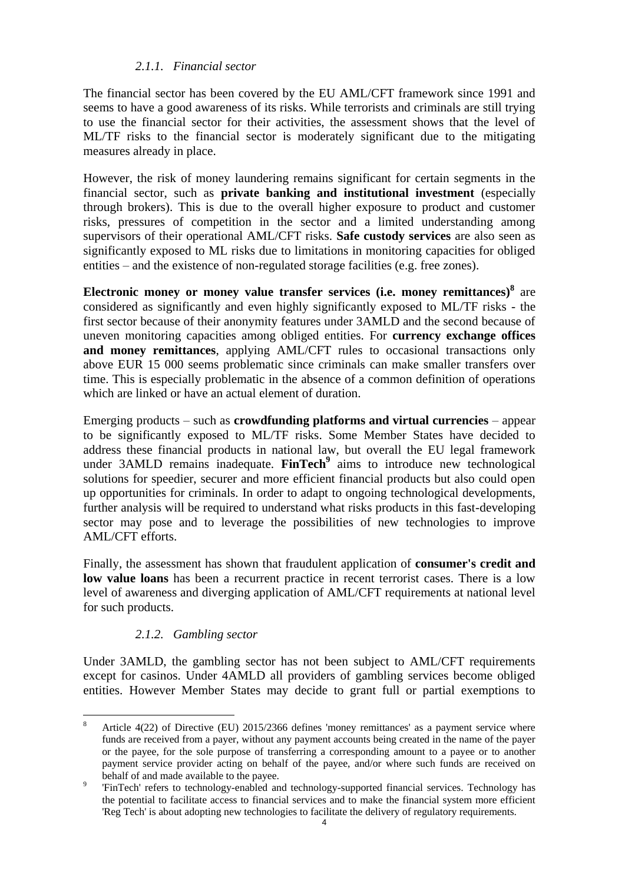### *2.1.1. Financial sector*

The financial sector has been covered by the EU AML/CFT framework since 1991 and seems to have a good awareness of its risks. While terrorists and criminals are still trying to use the financial sector for their activities, the assessment shows that the level of ML/TF risks to the financial sector is moderately significant due to the mitigating measures already in place.

However, the risk of money laundering remains significant for certain segments in the financial sector, such as **private banking and institutional investment** (especially through brokers). This is due to the overall higher exposure to product and customer risks, pressures of competition in the sector and a limited understanding among supervisors of their operational AML/CFT risks. **Safe custody services** are also seen as significantly exposed to ML risks due to limitations in monitoring capacities for obliged entities – and the existence of non-regulated storage facilities (e.g. free zones).

**Electronic money or money value transfer services (i.e. money remittances)<sup>8</sup>** are considered as significantly and even highly significantly exposed to ML/TF risks - the first sector because of their anonymity features under 3AMLD and the second because of uneven monitoring capacities among obliged entities. For **currency exchange offices and money remittances**, applying AML/CFT rules to occasional transactions only above EUR 15 000 seems problematic since criminals can make smaller transfers over time. This is especially problematic in the absence of a common definition of operations which are linked or have an actual element of duration.

Emerging products – such as **crowdfunding platforms and virtual currencies** – appear to be significantly exposed to ML/TF risks. Some Member States have decided to address these financial products in national law, but overall the EU legal framework under 3AMLD remains inadequate. **FinTech<sup>9</sup>** aims to introduce new technological solutions for speedier, securer and more efficient financial products but also could open up opportunities for criminals. In order to adapt to ongoing technological developments, further analysis will be required to understand what risks products in this fast-developing sector may pose and to leverage the possibilities of new technologies to improve AML/CFT efforts.

Finally, the assessment has shown that fraudulent application of **consumer's credit and low value loans** has been a recurrent practice in recent terrorist cases. There is a low level of awareness and diverging application of AML/CFT requirements at national level for such products.

## *2.1.2. Gambling sector*

Under 3AMLD, the gambling sector has not been subject to AML/CFT requirements except for casinos. Under 4AMLD all providers of gambling services become obliged entities. However Member States may decide to grant full or partial exemptions to

 $\overline{8}$ <sup>8</sup> Article 4(22) of Directive (EU) 2015/2366 defines 'money remittances' as a payment service where funds are received from a payer, without any payment accounts being created in the name of the payer or the payee, for the sole purpose of transferring a corresponding amount to a payee or to another payment service provider acting on behalf of the payee, and/or where such funds are received on behalf of and made available to the payee.

<sup>9</sup> 'FinTech' refers to technology-enabled and technology-supported financial services. Technology has the potential to facilitate access to financial services and to make the financial system more efficient 'Reg Tech' is about adopting new technologies to facilitate the delivery of regulatory requirements.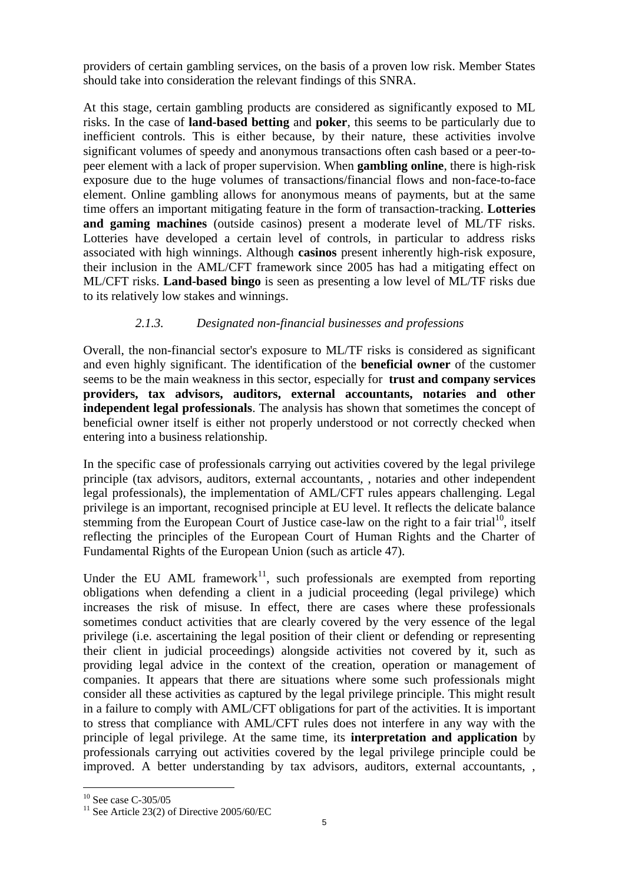providers of certain gambling services, on the basis of a proven low risk. Member States should take into consideration the relevant findings of this SNRA.

At this stage, certain gambling products are considered as significantly exposed to ML risks. In the case of **land-based betting** and **poker**, this seems to be particularly due to inefficient controls. This is either because, by their nature, these activities involve significant volumes of speedy and anonymous transactions often cash based or a peer-topeer element with a lack of proper supervision. When **gambling online**, there is high-risk exposure due to the huge volumes of transactions/financial flows and non-face-to-face element. Online gambling allows for anonymous means of payments, but at the same time offers an important mitigating feature in the form of transaction-tracking. **Lotteries and gaming machines** (outside casinos) present a moderate level of ML/TF risks. Lotteries have developed a certain level of controls, in particular to address risks associated with high winnings. Although **casinos** present inherently high-risk exposure, their inclusion in the AML/CFT framework since 2005 has had a mitigating effect on ML/CFT risks. **Land-based bingo** is seen as presenting a low level of ML/TF risks due to its relatively low stakes and winnings.

## *2.1.3. Designated non-financial businesses and professions*

Overall, the non-financial sector's exposure to ML/TF risks is considered as significant and even highly significant. The identification of the **beneficial owner** of the customer seems to be the main weakness in this sector, especially for **trust and company services providers, tax advisors, auditors, external accountants, notaries and other independent legal professionals**. The analysis has shown that sometimes the concept of beneficial owner itself is either not properly understood or not correctly checked when entering into a business relationship.

In the specific case of professionals carrying out activities covered by the legal privilege principle (tax advisors, auditors, external accountants, , notaries and other independent legal professionals), the implementation of AML/CFT rules appears challenging. Legal privilege is an important, recognised principle at EU level. It reflects the delicate balance stemming from the European Court of Justice case-law on the right to a fair trial<sup>10</sup>, itself reflecting the principles of the European Court of Human Rights and the Charter of Fundamental Rights of the European Union (such as article 47).

Under the EU AML framework<sup>11</sup>, such professionals are exempted from reporting obligations when defending a client in a judicial proceeding (legal privilege) which increases the risk of misuse. In effect, there are cases where these professionals sometimes conduct activities that are clearly covered by the very essence of the legal privilege (i.e. ascertaining the legal position of their client or defending or representing their client in judicial proceedings) alongside activities not covered by it, such as providing legal advice in the context of the creation, operation or management of companies. It appears that there are situations where some such professionals might consider all these activities as captured by the legal privilege principle. This might result in a failure to comply with AML/CFT obligations for part of the activities. It is important to stress that compliance with AML/CFT rules does not interfere in any way with the principle of legal privilege. At the same time, its **interpretation and application** by professionals carrying out activities covered by the legal privilege principle could be improved. A better understanding by tax advisors, auditors, external accountants, ,

 $10$  See case C-305/05

 $11$  See Article 23(2) of Directive 2005/60/EC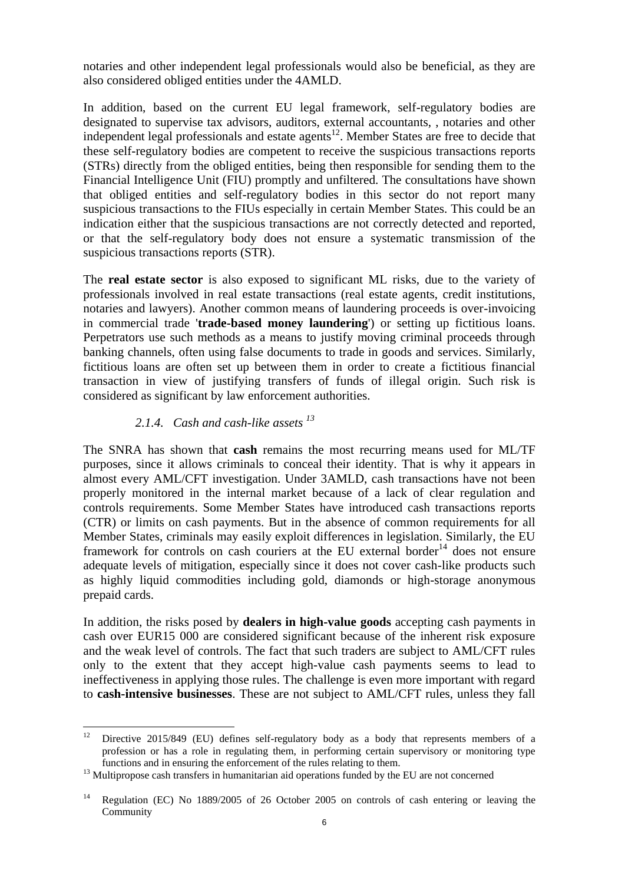notaries and other independent legal professionals would also be beneficial, as they are also considered obliged entities under the 4AMLD.

In addition, based on the current EU legal framework, self-regulatory bodies are designated to supervise tax advisors, auditors, external accountants, , notaries and other independent legal professionals and estate agents<sup>12</sup>. Member States are free to decide that these self-regulatory bodies are competent to receive the suspicious transactions reports (STRs) directly from the obliged entities, being then responsible for sending them to the Financial Intelligence Unit (FIU) promptly and unfiltered. The consultations have shown that obliged entities and self-regulatory bodies in this sector do not report many suspicious transactions to the FIUs especially in certain Member States. This could be an indication either that the suspicious transactions are not correctly detected and reported, or that the self-regulatory body does not ensure a systematic transmission of the suspicious transactions reports (STR).

The **real estate sector** is also exposed to significant ML risks, due to the variety of professionals involved in real estate transactions (real estate agents, credit institutions, notaries and lawyers). Another common means of laundering proceeds is over-invoicing in commercial trade '**trade-based money laundering**') or setting up fictitious loans. Perpetrators use such methods as a means to justify moving criminal proceeds through banking channels, often using false documents to trade in goods and services. Similarly, fictitious loans are often set up between them in order to create a fictitious financial transaction in view of justifying transfers of funds of illegal origin. Such risk is considered as significant by law enforcement authorities.

## *2.1.4. Cash and cash-like assets <sup>13</sup>*

The SNRA has shown that **cash** remains the most recurring means used for ML/TF purposes, since it allows criminals to conceal their identity. That is why it appears in almost every AML/CFT investigation. Under 3AMLD, cash transactions have not been properly monitored in the internal market because of a lack of clear regulation and controls requirements. Some Member States have introduced cash transactions reports (CTR) or limits on cash payments. But in the absence of common requirements for all Member States, criminals may easily exploit differences in legislation. Similarly, the EU framework for controls on cash couriers at the EU external border<sup>14</sup> does not ensure adequate levels of mitigation, especially since it does not cover cash-like products such as highly liquid commodities including gold, diamonds or high-storage anonymous prepaid cards.

In addition, the risks posed by **dealers in high-value goods** accepting cash payments in cash over EUR15 000 are considered significant because of the inherent risk exposure and the weak level of controls. The fact that such traders are subject to AML/CFT rules only to the extent that they accept high-value cash payments seems to lead to ineffectiveness in applying those rules. The challenge is even more important with regard to **cash-intensive businesses**. These are not subject to AML/CFT rules, unless they fall

 $12 \,$ Directive 2015/849 (EU) defines self-regulatory body as a body that represents members of a profession or has a role in regulating them, in performing certain supervisory or monitoring type functions and in ensuring the enforcement of the rules relating to them.

<sup>&</sup>lt;sup>13</sup> Multipropose cash transfers in humanitarian aid operations funded by the EU are not concerned

<sup>14</sup> Regulation (EC) No 1889/2005 of 26 October 2005 on controls of cash entering or leaving the Community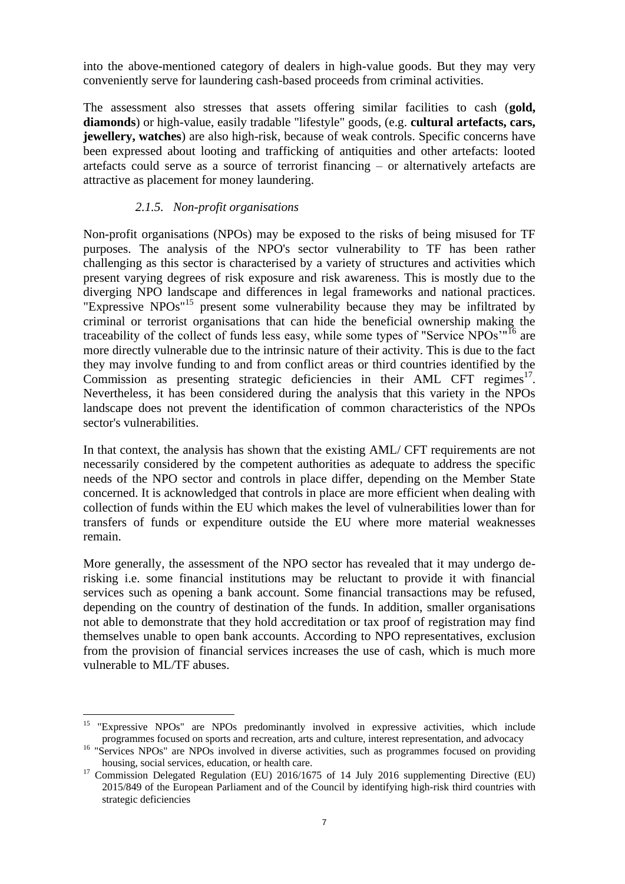into the above-mentioned category of dealers in high-value goods. But they may very conveniently serve for laundering cash-based proceeds from criminal activities.

The assessment also stresses that assets offering similar facilities to cash (**gold, diamonds**) or high-value, easily tradable "lifestyle" goods, (e.g. **cultural artefacts, cars, jewellery, watches**) are also high-risk, because of weak controls. Specific concerns have been expressed about looting and trafficking of antiquities and other artefacts: looted artefacts could serve as a source of terrorist financing – or alternatively artefacts are attractive as placement for money laundering.

## *2.1.5. Non-profit organisations*

Non-profit organisations (NPOs) may be exposed to the risks of being misused for TF purposes. The analysis of the NPO's sector vulnerability to TF has been rather challenging as this sector is characterised by a variety of structures and activities which present varying degrees of risk exposure and risk awareness. This is mostly due to the diverging NPO landscape and differences in legal frameworks and national practices. "Expressive NPOs"<sup>15</sup> present some vulnerability because they may be infiltrated by criminal or terrorist organisations that can hide the beneficial ownership making the traceability of the collect of funds less easy, while some types of "Service  $NPOs''<sup>16</sup>$  are more directly vulnerable due to the intrinsic nature of their activity. This is due to the fact they may involve funding to and from conflict areas or third countries identified by the Commission as presenting strategic deficiencies in their AML CFT regimes $^{17}$ . Nevertheless, it has been considered during the analysis that this variety in the NPOs landscape does not prevent the identification of common characteristics of the NPOs sector's vulnerabilities.

In that context, the analysis has shown that the existing AML/ CFT requirements are not necessarily considered by the competent authorities as adequate to address the specific needs of the NPO sector and controls in place differ, depending on the Member State concerned. It is acknowledged that controls in place are more efficient when dealing with collection of funds within the EU which makes the level of vulnerabilities lower than for transfers of funds or expenditure outside the EU where more material weaknesses remain.

More generally, the assessment of the NPO sector has revealed that it may undergo derisking i.e. some financial institutions may be reluctant to provide it with financial services such as opening a bank account. Some financial transactions may be refused, depending on the country of destination of the funds. In addition, smaller organisations not able to demonstrate that they hold accreditation or tax proof of registration may find themselves unable to open bank accounts. According to NPO representatives, exclusion from the provision of financial services increases the use of cash, which is much more vulnerable to ML/TF abuses.

<sup>&</sup>lt;sup>15</sup> "Expressive NPOs" are NPOs predominantly involved in expressive activities, which include programmes focused on sports and recreation, arts and culture, interest representation, and advocacy

<sup>&</sup>lt;sup>16</sup> "Services NPOs" are NPOs involved in diverse activities, such as programmes focused on providing housing, social services, education, or health care.

<sup>&</sup>lt;sup>17</sup> Commission Delegated Regulation (EU) 2016/1675 of 14 July 2016 supplementing Directive (EU) 2015/849 of the European Parliament and of the Council by identifying high-risk third countries with strategic deficiencies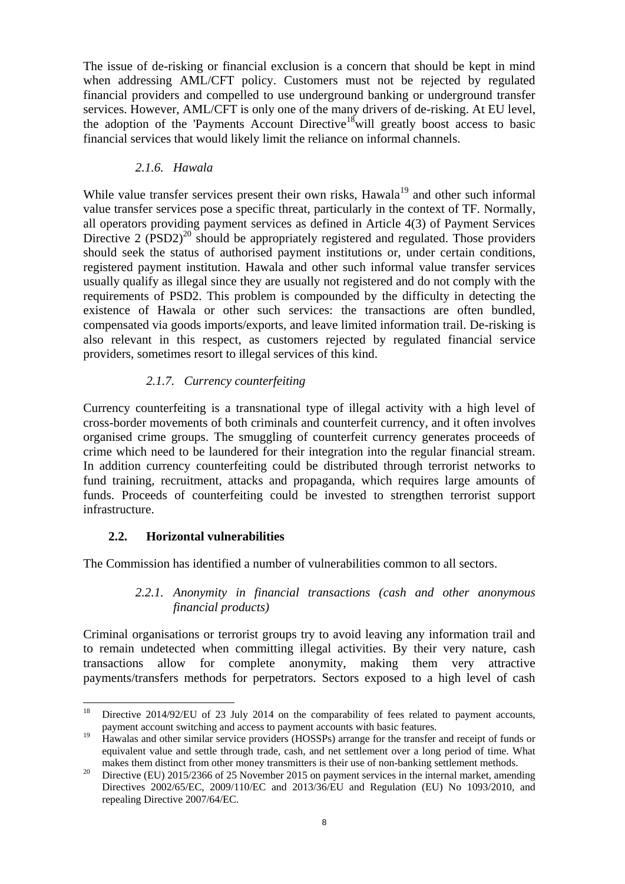The issue of de-risking or financial exclusion is a concern that should be kept in mind when addressing AML/CFT policy. Customers must not be rejected by regulated financial providers and compelled to use underground banking or underground transfer services. However, AML/CFT is only one of the many drivers of de-risking. At EU level, the adoption of the 'Payments Account Directive<sup>18</sup> will greatly boost access to basic financial services that would likely limit the reliance on informal channels.

## *2.1.6. Hawala*

While value transfer services present their own risks, Hawala<sup>19</sup> and other such informal value transfer services pose a specific threat, particularly in the context of TF. Normally, all operators providing payment services as defined in Article 4(3) of Payment Services Directive 2  $(PSD2)^{20}$  should be appropriately registered and regulated. Those providers should seek the status of authorised payment institutions or, under certain conditions, registered payment institution. Hawala and other such informal value transfer services usually qualify as illegal since they are usually not registered and do not comply with the requirements of PSD2. This problem is compounded by the difficulty in detecting the existence of Hawala or other such services: the transactions are often bundled, compensated via goods imports/exports, and leave limited information trail. De-risking is also relevant in this respect, as customers rejected by regulated financial service providers, sometimes resort to illegal services of this kind.

## *2.1.7. Currency counterfeiting*

Currency counterfeiting is a transnational type of illegal activity with a high level of cross-border movements of both criminals and counterfeit currency, and it often involves organised crime groups. The smuggling of counterfeit currency generates proceeds of crime which need to be laundered for their integration into the regular financial stream. In addition currency counterfeiting could be distributed through terrorist networks to fund training, recruitment, attacks and propaganda, which requires large amounts of funds. Proceeds of counterfeiting could be invested to strengthen terrorist support infrastructure.

## **2.2. Horizontal vulnerabilities**

The Commission has identified a number of vulnerabilities common to all sectors.

### *2.2.1. Anonymity in financial transactions (cash and other anonymous financial products)*

Criminal organisations or terrorist groups try to avoid leaving any information trail and to remain undetected when committing illegal activities. By their very nature, cash transactions allow for complete anonymity, making them very attractive payments/transfers methods for perpetrators. Sectors exposed to a high level of cash

<sup>18</sup> Directive 2014/92/EU of 23 July 2014 on the comparability of fees related to payment accounts, payment account switching and access to payment accounts with basic features.

<sup>&</sup>lt;sup>19</sup> Hawalas and other similar service providers (HOSSPs) arrange for the transfer and receipt of funds or equivalent value and settle through trade, cash, and net settlement over a long period of time. What makes them distinct from other money transmitters is their use of non-banking settlement methods.

<sup>20</sup> Directive (EU) 2015/2366 of 25 November 2015 on payment services in the internal market, amending Directives 2002/65/EC, 2009/110/EC and 2013/36/EU and Regulation (EU) No 1093/2010, and repealing Directive 2007/64/EC.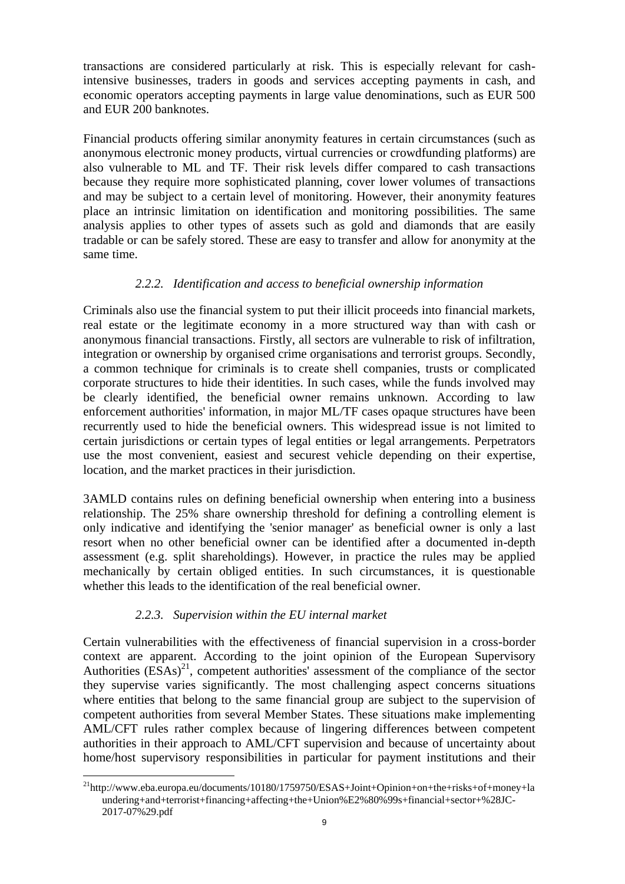transactions are considered particularly at risk. This is especially relevant for cashintensive businesses, traders in goods and services accepting payments in cash, and economic operators accepting payments in large value denominations, such as EUR 500 and EUR 200 banknotes.

Financial products offering similar anonymity features in certain circumstances (such as anonymous electronic money products, virtual currencies or crowdfunding platforms) are also vulnerable to ML and TF. Their risk levels differ compared to cash transactions because they require more sophisticated planning, cover lower volumes of transactions and may be subject to a certain level of monitoring. However, their anonymity features place an intrinsic limitation on identification and monitoring possibilities. The same analysis applies to other types of assets such as gold and diamonds that are easily tradable or can be safely stored. These are easy to transfer and allow for anonymity at the same time.

## *2.2.2. Identification and access to beneficial ownership information*

Criminals also use the financial system to put their illicit proceeds into financial markets, real estate or the legitimate economy in a more structured way than with cash or anonymous financial transactions. Firstly, all sectors are vulnerable to risk of infiltration, integration or ownership by organised crime organisations and terrorist groups. Secondly, a common technique for criminals is to create shell companies, trusts or complicated corporate structures to hide their identities. In such cases, while the funds involved may be clearly identified, the beneficial owner remains unknown. According to law enforcement authorities' information, in major ML/TF cases opaque structures have been recurrently used to hide the beneficial owners. This widespread issue is not limited to certain jurisdictions or certain types of legal entities or legal arrangements. Perpetrators use the most convenient, easiest and securest vehicle depending on their expertise, location, and the market practices in their jurisdiction.

3AMLD contains rules on defining beneficial ownership when entering into a business relationship. The 25% share ownership threshold for defining a controlling element is only indicative and identifying the 'senior manager' as beneficial owner is only a last resort when no other beneficial owner can be identified after a documented in-depth assessment (e.g. split shareholdings). However, in practice the rules may be applied mechanically by certain obliged entities. In such circumstances, it is questionable whether this leads to the identification of the real beneficial owner.

#### *2.2.3. Supervision within the EU internal market*

Certain vulnerabilities with the effectiveness of financial supervision in a cross-border context are apparent. According to the joint opinion of the European Supervisory Authorities  $(ESAs)^{21}$ , competent authorities' assessment of the compliance of the sector they supervise varies significantly. The most challenging aspect concerns situations where entities that belong to the same financial group are subject to the supervision of competent authorities from several Member States. These situations make implementing AML/CFT rules rather complex because of lingering differences between competent authorities in their approach to AML/CFT supervision and because of uncertainty about home/host supervisory responsibilities in particular for payment institutions and their

 $\overline{a}$  $^{21}$ http://www.eba.europa.eu/documents/10180/1759750/ESAS+Joint+Opinion+on+the+risks+of+money+la undering+and+terrorist+financing+affecting+the+Union%E2%80%99s+financial+sector+%28JC-2017-07%29.pdf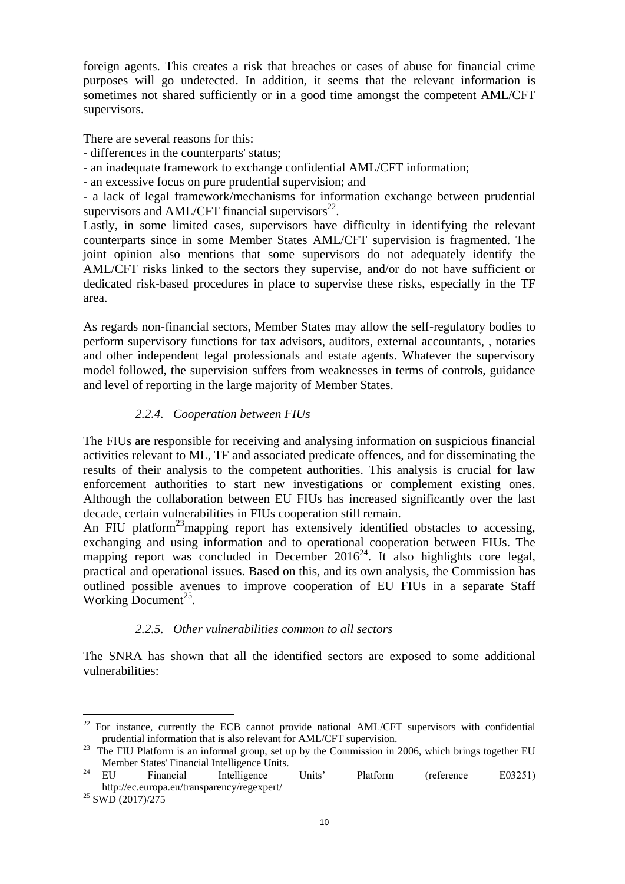foreign agents. This creates a risk that breaches or cases of abuse for financial crime purposes will go undetected. In addition, it seems that the relevant information is sometimes not shared sufficiently or in a good time amongst the competent AML/CFT supervisors.

There are several reasons for this:

- differences in the counterparts' status;
- an inadequate framework to exchange confidential AML/CFT information;
- an excessive focus on pure prudential supervision; and

- a lack of legal framework/mechanisms for information exchange between prudential supervisors and AML/CFT financial supervisors $^{22}$ .

Lastly, in some limited cases, supervisors have difficulty in identifying the relevant counterparts since in some Member States AML/CFT supervision is fragmented. The joint opinion also mentions that some supervisors do not adequately identify the AML/CFT risks linked to the sectors they supervise, and/or do not have sufficient or dedicated risk-based procedures in place to supervise these risks, especially in the TF area.

As regards non-financial sectors, Member States may allow the self-regulatory bodies to perform supervisory functions for tax advisors, auditors, external accountants, , notaries and other independent legal professionals and estate agents. Whatever the supervisory model followed, the supervision suffers from weaknesses in terms of controls, guidance and level of reporting in the large majority of Member States.

## *2.2.4. Cooperation between FIUs*

The FIUs are responsible for receiving and analysing information on suspicious financial activities relevant to ML, TF and associated predicate offences, and for disseminating the results of their analysis to the competent authorities. This analysis is crucial for law enforcement authorities to start new investigations or complement existing ones. Although the collaboration between EU FIUs has increased significantly over the last decade, certain vulnerabilities in FIUs cooperation still remain.

An FIU platform<sup>23</sup> mapping report has extensively identified obstacles to accessing, exchanging and using information and to operational cooperation between FIUs. The mapping report was concluded in December  $2016^{24}$ . It also highlights core legal, practical and operational issues. Based on this, and its own analysis, the Commission has outlined possible avenues to improve cooperation of EU FIUs in a separate Staff Working Document<sup>25</sup>.

## *2.2.5. Other vulnerabilities common to all sectors*

The SNRA has shown that all the identified sectors are exposed to some additional vulnerabilities:

 $22$  For instance, currently the ECB cannot provide national AML/CFT supervisors with confidential prudential information that is also relevant for AML/CFT supervision.

 $^{23}$  The FIU Platform is an informal group, set up by the Commission in 2006, which brings together EU Member States' Financial Intelligence Units.

<sup>&</sup>lt;sup>24</sup> EU Financial Intelligence Units' Platform (reference E03251) http://ec.europa.eu/transparency/regexpert/

<sup>25</sup> SWD (2017)/275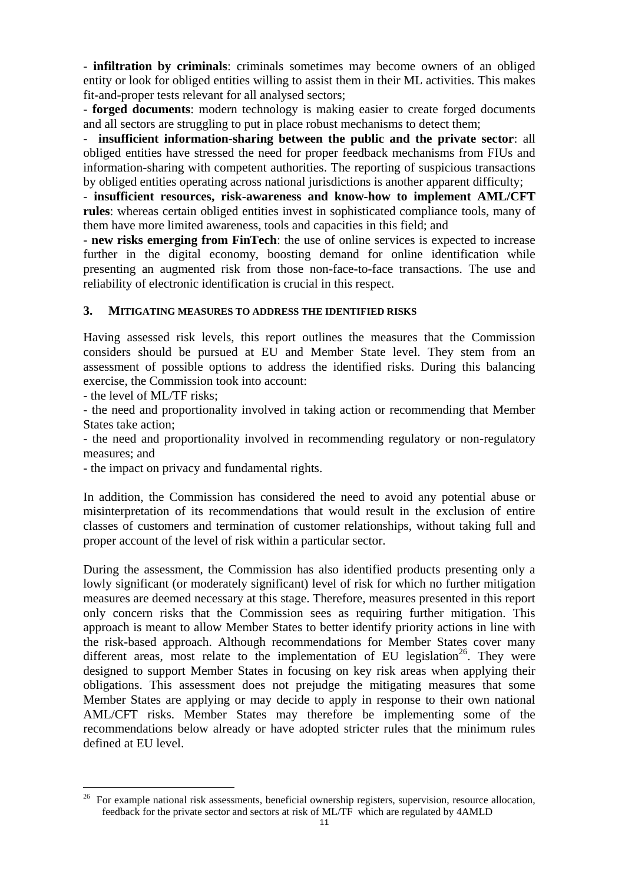- **infiltration by criminals**: criminals sometimes may become owners of an obliged entity or look for obliged entities willing to assist them in their ML activities. This makes fit-and-proper tests relevant for all analysed sectors;

- **forged documents**: modern technology is making easier to create forged documents and all sectors are struggling to put in place robust mechanisms to detect them;

- **insufficient information-sharing between the public and the private sector**: all obliged entities have stressed the need for proper feedback mechanisms from FIUs and information-sharing with competent authorities. The reporting of suspicious transactions by obliged entities operating across national jurisdictions is another apparent difficulty;

- **insufficient resources, risk-awareness and know-how to implement AML/CFT rules**: whereas certain obliged entities invest in sophisticated compliance tools, many of them have more limited awareness, tools and capacities in this field; and

- **new risks emerging from FinTech**: the use of online services is expected to increase further in the digital economy, boosting demand for online identification while presenting an augmented risk from those non-face-to-face transactions. The use and reliability of electronic identification is crucial in this respect.

#### **3. MITIGATING MEASURES TO ADDRESS THE IDENTIFIED RISKS**

Having assessed risk levels, this report outlines the measures that the Commission considers should be pursued at EU and Member State level. They stem from an assessment of possible options to address the identified risks. During this balancing exercise, the Commission took into account:

- the level of ML/TF risks;

 $\overline{a}$ 

- the need and proportionality involved in taking action or recommending that Member States take action;

- the need and proportionality involved in recommending regulatory or non-regulatory measures; and

- the impact on privacy and fundamental rights.

In addition, the Commission has considered the need to avoid any potential abuse or misinterpretation of its recommendations that would result in the exclusion of entire classes of customers and termination of customer relationships, without taking full and proper account of the level of risk within a particular sector.

During the assessment, the Commission has also identified products presenting only a lowly significant (or moderately significant) level of risk for which no further mitigation measures are deemed necessary at this stage. Therefore, measures presented in this report only concern risks that the Commission sees as requiring further mitigation. This approach is meant to allow Member States to better identify priority actions in line with the risk-based approach. Although recommendations for Member States cover many different areas, most relate to the implementation of EU legislation<sup>26</sup>. They were designed to support Member States in focusing on key risk areas when applying their obligations. This assessment does not prejudge the mitigating measures that some Member States are applying or may decide to apply in response to their own national AML/CFT risks. Member States may therefore be implementing some of the recommendations below already or have adopted stricter rules that the minimum rules defined at EU level.

<sup>26</sup> For example national risk assessments, beneficial ownership registers, supervision, resource allocation, feedback for the private sector and sectors at risk of ML/TF which are regulated by 4AMLD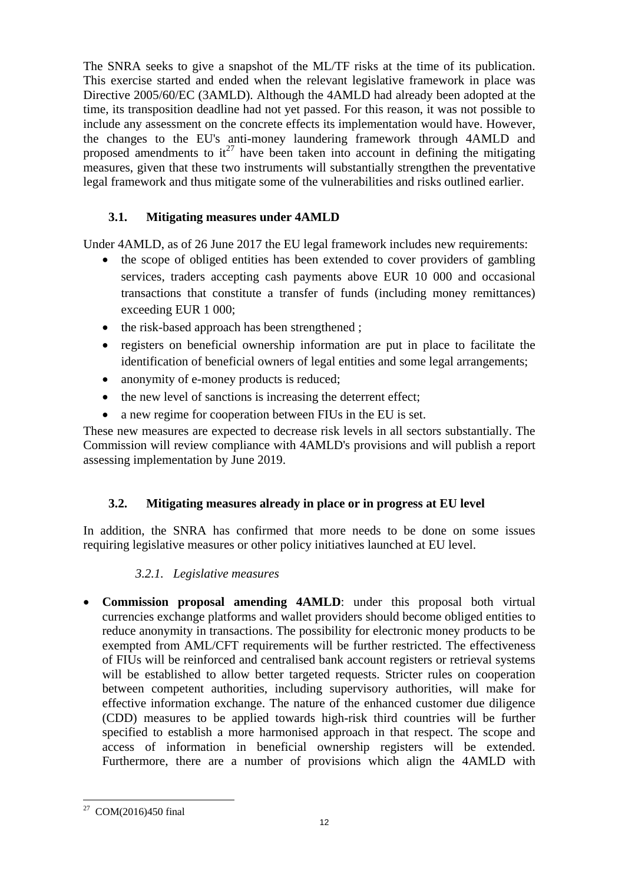The SNRA seeks to give a snapshot of the ML/TF risks at the time of its publication. This exercise started and ended when the relevant legislative framework in place was Directive 2005/60/EC (3AMLD). Although the 4AMLD had already been adopted at the time, its transposition deadline had not yet passed. For this reason, it was not possible to include any assessment on the concrete effects its implementation would have. However, the changes to the EU's anti-money laundering framework through 4AMLD and proposed amendments to  $it^{27}$  have been taken into account in defining the mitigating measures, given that these two instruments will substantially strengthen the preventative legal framework and thus mitigate some of the vulnerabilities and risks outlined earlier.

# **3.1. Mitigating measures under 4AMLD**

Under 4AMLD, as of 26 June 2017 the EU legal framework includes new requirements:

- the scope of obliged entities has been extended to cover providers of gambling services, traders accepting cash payments above EUR 10 000 and occasional transactions that constitute a transfer of funds (including money remittances) exceeding EUR 1 000;
- the risk-based approach has been strengthened ;
- registers on beneficial ownership information are put in place to facilitate the identification of beneficial owners of legal entities and some legal arrangements;
- anonymity of e-money products is reduced;
- the new level of sanctions is increasing the deterrent effect:
- a new regime for cooperation between FIUs in the EU is set.

These new measures are expected to decrease risk levels in all sectors substantially. The Commission will review compliance with 4AMLD's provisions and will publish a report assessing implementation by June 2019.

# **3.2. Mitigating measures already in place or in progress at EU level**

In addition, the SNRA has confirmed that more needs to be done on some issues requiring legislative measures or other policy initiatives launched at EU level.

# *3.2.1. Legislative measures*

 **Commission proposal amending 4AMLD**: under this proposal both virtual currencies exchange platforms and wallet providers should become obliged entities to reduce anonymity in transactions. The possibility for electronic money products to be exempted from AML/CFT requirements will be further restricted. The effectiveness of FIUs will be reinforced and centralised bank account registers or retrieval systems will be established to allow better targeted requests. Stricter rules on cooperation between competent authorities, including supervisory authorities, will make for effective information exchange. The nature of the enhanced customer due diligence (CDD) measures to be applied towards high-risk third countries will be further specified to establish a more harmonised approach in that respect. The scope and access of information in beneficial ownership registers will be extended. Furthermore, there are a number of provisions which align the 4AMLD with

 27 COM(2016)450 final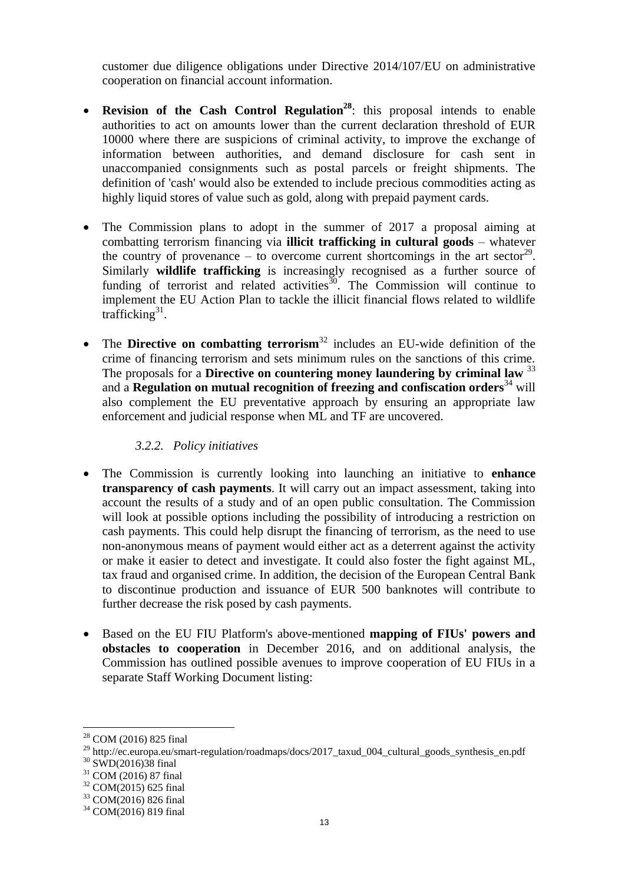customer due diligence obligations under Directive 2014/107/EU on administrative cooperation on financial account information.

- **Revision of the Cash Control Regulation<sup>28</sup>** : this proposal intends to enable authorities to act on amounts lower than the current declaration threshold of EUR 10000 where there are suspicions of criminal activity, to improve the exchange of information between authorities, and demand disclosure for cash sent in unaccompanied consignments such as postal parcels or freight shipments. The definition of 'cash' would also be extended to include precious commodities acting as highly liquid stores of value such as gold, along with prepaid payment cards.
- The Commission plans to adopt in the summer of 2017 a proposal aiming at combatting terrorism financing via **illicit trafficking in cultural goods** – whatever the country of provenance – to overcome current shortcomings in the art sector<sup>29</sup>. Similarly **wildlife trafficking** is increasingly recognised as a further source of funding of terrorist and related activities $\frac{30}{10}$ . The Commission will continue to implement the EU Action Plan to tackle the illicit financial flows related to wildlife trafficking<sup>31</sup>.
- The **Directive on combatting terrorism**<sup>32</sup> includes an EU-wide definition of the crime of financing terrorism and sets minimum rules on the sanctions of this crime. The proposals for a **Directive on countering money laundering by criminal law** <sup>33</sup> and a **Regulation on mutual recognition of freezing and confiscation orders**<sup>34</sup> will also complement the EU preventative approach by ensuring an appropriate law enforcement and judicial response when ML and TF are uncovered.

#### *3.2.2. Policy initiatives*

- The Commission is currently looking into launching an initiative to **enhance transparency of cash payments**. It will carry out an impact assessment, taking into account the results of a study and of an open public consultation. The Commission will look at possible options including the possibility of introducing a restriction on cash payments. This could help disrupt the financing of terrorism, as the need to use non-anonymous means of payment would either act as a deterrent against the activity or make it easier to detect and investigate. It could also foster the fight against ML, tax fraud and organised crime. In addition, the decision of the European Central Bank to discontinue production and issuance of EUR 500 banknotes will contribute to further decrease the risk posed by cash payments.
- Based on the EU FIU Platform's above-mentioned **mapping of FIUs' powers and obstacles to cooperation** in December 2016, and on additional analysis, the Commission has outlined possible avenues to improve cooperation of EU FIUs in a separate Staff Working Document listing:

<sup>28</sup> COM (2016) 825 final

<sup>&</sup>lt;sup>29</sup> http://ec.europa.eu/smart-regulation/roadmaps/docs/2017\_taxud\_004\_cultural\_goods\_synthesis\_en.pdf

<sup>30</sup> SWD(2016)38 final

<sup>31</sup> COM (2016) 87 final

<sup>32</sup> COM(2015) 625 final

<sup>33</sup> COM(2016) 826 final

<sup>34</sup> COM(2016) 819 final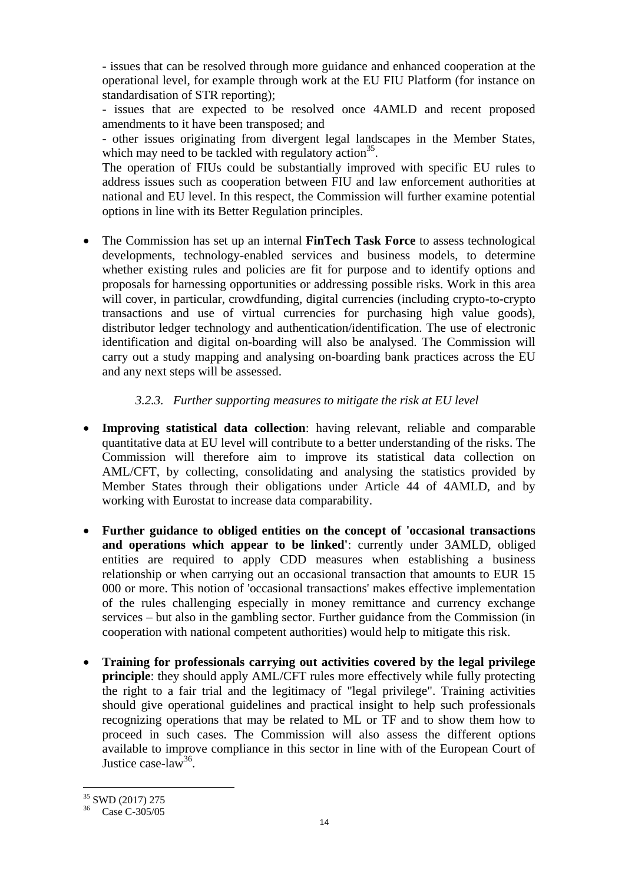- issues that can be resolved through more guidance and enhanced cooperation at the operational level, for example through work at the EU FIU Platform (for instance on standardisation of STR reporting);

- issues that are expected to be resolved once 4AMLD and recent proposed amendments to it have been transposed; and

- other issues originating from divergent legal landscapes in the Member States, which may need to be tackled with regulatory  $\arctan^{35}$ .

The operation of FIUs could be substantially improved with specific EU rules to address issues such as cooperation between FIU and law enforcement authorities at national and EU level. In this respect, the Commission will further examine potential options in line with its Better Regulation principles.

 The Commission has set up an internal **FinTech Task Force** to assess technological developments, technology-enabled services and business models, to determine whether existing rules and policies are fit for purpose and to identify options and proposals for harnessing opportunities or addressing possible risks. Work in this area will cover, in particular, crowdfunding, digital currencies (including crypto-to-crypto transactions and use of virtual currencies for purchasing high value goods), distributor ledger technology and authentication/identification. The use of electronic identification and digital on-boarding will also be analysed. The Commission will carry out a study mapping and analysing on-boarding bank practices across the EU and any next steps will be assessed.

## *3.2.3. Further supporting measures to mitigate the risk at EU level*

- **Improving statistical data collection**: having relevant, reliable and comparable quantitative data at EU level will contribute to a better understanding of the risks. The Commission will therefore aim to improve its statistical data collection on AML/CFT, by collecting, consolidating and analysing the statistics provided by Member States through their obligations under Article 44 of 4AMLD, and by working with Eurostat to increase data comparability.
- **Further guidance to obliged entities on the concept of 'occasional transactions and operations which appear to be linked'**: currently under 3AMLD, obliged entities are required to apply CDD measures when establishing a business relationship or when carrying out an occasional transaction that amounts to EUR 15 000 or more. This notion of 'occasional transactions' makes effective implementation of the rules challenging especially in money remittance and currency exchange services – but also in the gambling sector. Further guidance from the Commission (in cooperation with national competent authorities) would help to mitigate this risk.
- **Training for professionals carrying out activities covered by the legal privilege principle**: they should apply AML/CFT rules more effectively while fully protecting the right to a fair trial and the legitimacy of "legal privilege". Training activities should give operational guidelines and practical insight to help such professionals recognizing operations that may be related to ML or TF and to show them how to proceed in such cases. The Commission will also assess the different options available to improve compliance in this sector in line with of the European Court of Justice case-law<sup>36</sup>.

<sup>35</sup> SWD (2017) 275

<sup>36</sup> Case C-305/05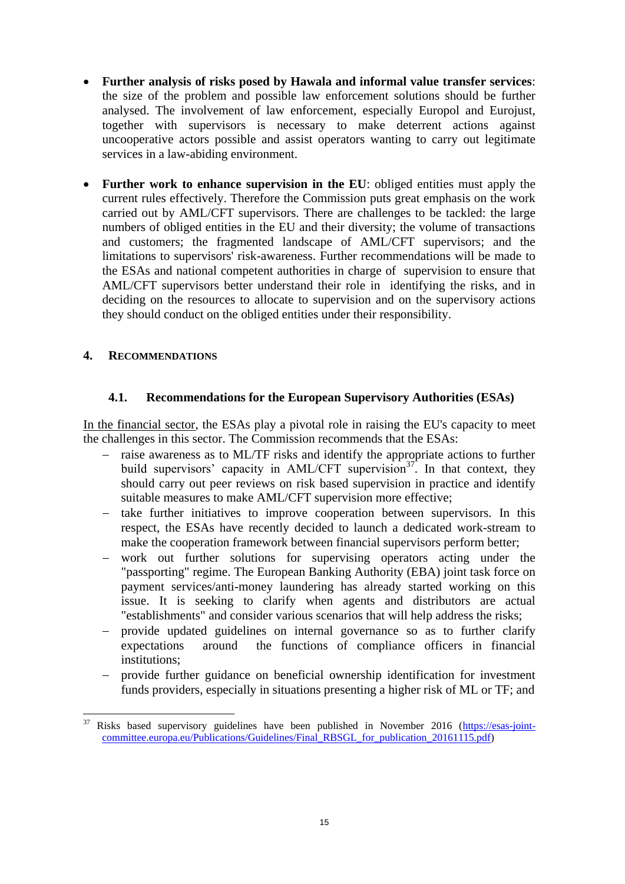- **Further analysis of risks posed by Hawala and informal value transfer services**: the size of the problem and possible law enforcement solutions should be further analysed. The involvement of law enforcement, especially Europol and Eurojust, together with supervisors is necessary to make deterrent actions against uncooperative actors possible and assist operators wanting to carry out legitimate services in a law-abiding environment.
- **Further work to enhance supervision in the EU**: obliged entities must apply the current rules effectively. Therefore the Commission puts great emphasis on the work carried out by AML/CFT supervisors. There are challenges to be tackled: the large numbers of obliged entities in the EU and their diversity; the volume of transactions and customers; the fragmented landscape of AML/CFT supervisors; and the limitations to supervisors' risk-awareness. Further recommendations will be made to the ESAs and national competent authorities in charge of supervision to ensure that AML/CFT supervisors better understand their role in identifying the risks, and in deciding on the resources to allocate to supervision and on the supervisory actions they should conduct on the obliged entities under their responsibility.

### **4. RECOMMENDATIONS**

### **4.1. Recommendations for the European Supervisory Authorities (ESAs)**

In the financial sector, the ESAs play a pivotal role in raising the EU's capacity to meet the challenges in this sector. The Commission recommends that the ESAs:

- raise awareness as to ML/TF risks and identify the appropriate actions to further build supervisors' capacity in AML/CFT supervision<sup>37</sup>. In that context, they should carry out peer reviews on risk based supervision in practice and identify suitable measures to make AML/CFT supervision more effective;
- $-$  take further initiatives to improve cooperation between supervisors. In this respect, the ESAs have recently decided to launch a dedicated work-stream to make the cooperation framework between financial supervisors perform better;
- work out further solutions for supervising operators acting under the "passporting" regime. The European Banking Authority (EBA) joint task force on payment services/anti-money laundering has already started working on this issue. It is seeking to clarify when agents and distributors are actual "establishments" and consider various scenarios that will help address the risks;
- provide updated guidelines on internal governance so as to further clarify expectations around the functions of compliance officers in financial institutions;
- provide further guidance on beneficial ownership identification for investment funds providers, especially in situations presenting a higher risk of ML or TF; and

 $\overline{a}$ <sup>37</sup> Risks based supervisory guidelines have been published in November 2016 [\(https://esas-joint](https://esas-joint-committee.europa.eu/Publications/Guidelines/Final_RBSGL_for_publication_20161115.pdf)[committee.europa.eu/Publications/Guidelines/Final\\_RBSGL\\_for\\_publication\\_20161115.pdf\)](https://esas-joint-committee.europa.eu/Publications/Guidelines/Final_RBSGL_for_publication_20161115.pdf)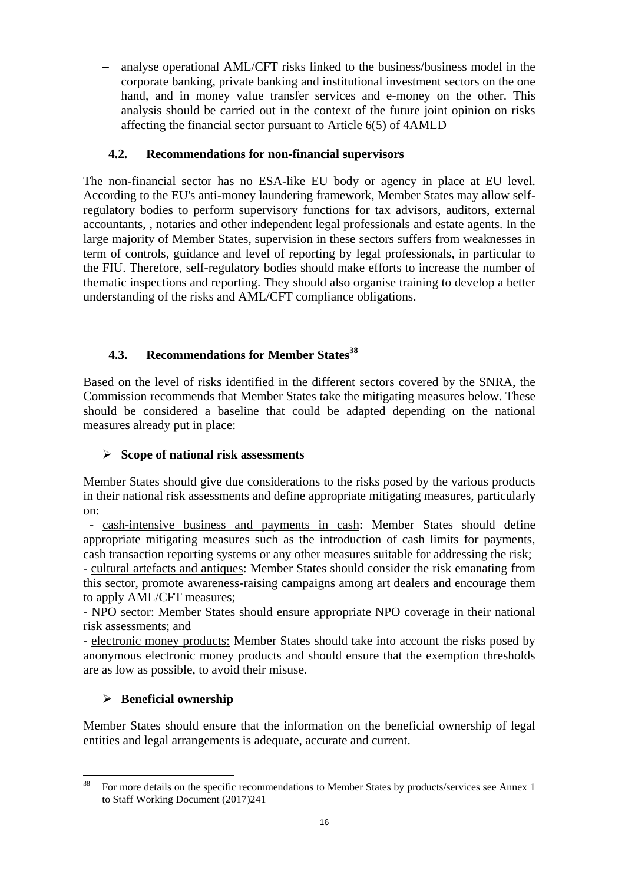analyse operational AML/CFT risks linked to the business/business model in the corporate banking, private banking and institutional investment sectors on the one hand, and in money value transfer services and e-money on the other. This analysis should be carried out in the context of the future joint opinion on risks affecting the financial sector pursuant to Article 6(5) of 4AMLD

## **4.2. Recommendations for non-financial supervisors**

The non-financial sector has no ESA-like EU body or agency in place at EU level. According to the EU's anti-money laundering framework, Member States may allow selfregulatory bodies to perform supervisory functions for tax advisors, auditors, external accountants, , notaries and other independent legal professionals and estate agents. In the large majority of Member States, supervision in these sectors suffers from weaknesses in term of controls, guidance and level of reporting by legal professionals, in particular to the FIU. Therefore, self-regulatory bodies should make efforts to increase the number of thematic inspections and reporting. They should also organise training to develop a better understanding of the risks and AML/CFT compliance obligations.

# **4.3. Recommendations for Member States<sup>38</sup>**

Based on the level of risks identified in the different sectors covered by the SNRA, the Commission recommends that Member States take the mitigating measures below. These should be considered a baseline that could be adapted depending on the national measures already put in place:

## **Scope of national risk assessments**

Member States should give due considerations to the risks posed by the various products in their national risk assessments and define appropriate mitigating measures, particularly on:

 - cash-intensive business and payments in cash: Member States should define appropriate mitigating measures such as the introduction of cash limits for payments, cash transaction reporting systems or any other measures suitable for addressing the risk; - cultural artefacts and antiques: Member States should consider the risk emanating from

this sector, promote awareness-raising campaigns among art dealers and encourage them to apply AML/CFT measures;

- NPO sector: Member States should ensure appropriate NPO coverage in their national risk assessments; and

- electronic money products: Member States should take into account the risks posed by anonymous electronic money products and should ensure that the exemption thresholds are as low as possible, to avoid their misuse.

## **Beneficial ownership**

Member States should ensure that the information on the beneficial ownership of legal entities and legal arrangements is adequate, accurate and current.

<sup>38</sup> <sup>38</sup> For more details on the specific recommendations to Member States by products/services see Annex 1 to Staff Working Document (2017)241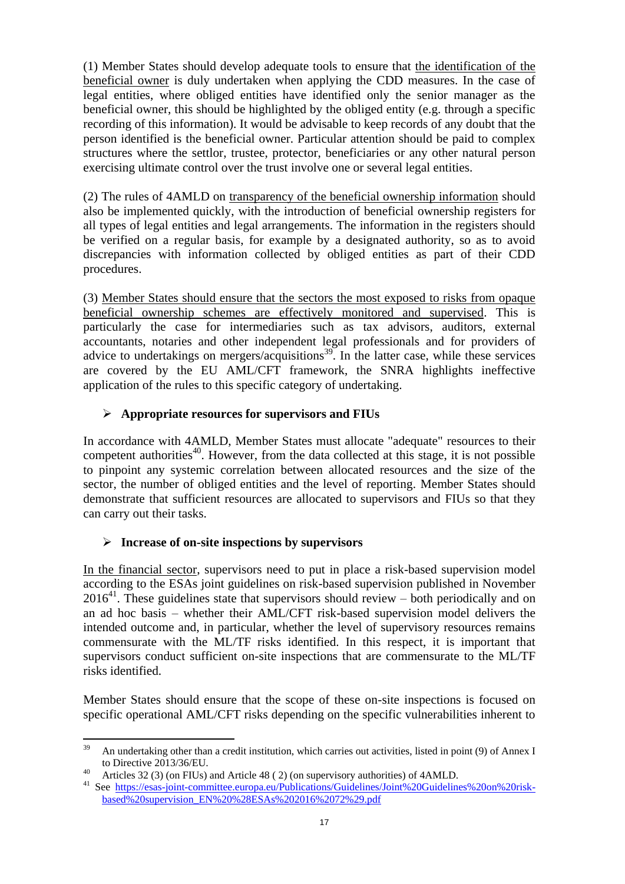(1) Member States should develop adequate tools to ensure that the identification of the beneficial owner is duly undertaken when applying the CDD measures. In the case of legal entities, where obliged entities have identified only the senior manager as the beneficial owner, this should be highlighted by the obliged entity (e.g. through a specific recording of this information). It would be advisable to keep records of any doubt that the person identified is the beneficial owner. Particular attention should be paid to complex structures where the settlor, trustee, protector, beneficiaries or any other natural person exercising ultimate control over the trust involve one or several legal entities.

(2) The rules of 4AMLD on transparency of the beneficial ownership information should also be implemented quickly, with the introduction of beneficial ownership registers for all types of legal entities and legal arrangements. The information in the registers should be verified on a regular basis, for example by a designated authority, so as to avoid discrepancies with information collected by obliged entities as part of their CDD procedures.

(3) Member States should ensure that the sectors the most exposed to risks from opaque beneficial ownership schemes are effectively monitored and supervised. This is particularly the case for intermediaries such as tax advisors, auditors, external accountants, notaries and other independent legal professionals and for providers of advice to undertakings on mergers/acquisitions<sup>39</sup>. In the latter case, while these services are covered by the EU AML/CFT framework, the SNRA highlights ineffective application of the rules to this specific category of undertaking.

## **Appropriate resources for supervisors and FIUs**

In accordance with 4AMLD, Member States must allocate "adequate" resources to their competent authorities<sup>40</sup>. However, from the data collected at this stage, it is not possible to pinpoint any systemic correlation between allocated resources and the size of the sector, the number of obliged entities and the level of reporting. Member States should demonstrate that sufficient resources are allocated to supervisors and FIUs so that they can carry out their tasks.

## **Increase of on-site inspections by supervisors**

In the financial sector, supervisors need to put in place a risk-based supervision model according to the ESAs joint guidelines on risk-based supervision published in November  $2016<sup>41</sup>$ . These guidelines state that supervisors should review – both periodically and on an ad hoc basis – whether their AML/CFT risk-based supervision model delivers the intended outcome and, in particular, whether the level of supervisory resources remains commensurate with the ML/TF risks identified. In this respect, it is important that supervisors conduct sufficient on-site inspections that are commensurate to the ML/TF risks identified.

Member States should ensure that the scope of these on-site inspections is focused on specific operational AML/CFT risks depending on the specific vulnerabilities inherent to

<sup>39</sup> <sup>39</sup> An undertaking other than a credit institution, which carries out activities, listed in point (9) of Annex I to Directive 2013/36/EU.

Articles 32 (3) (on FIUs) and Article 48 (2) (on supervisory authorities) of 4AMLD.

<sup>&</sup>lt;sup>41</sup> See [https://esas-joint-committee.europa.eu/Publications/Guidelines/Joint%20Guidelines%20on%20risk](https://esas-joint-committee.europa.eu/Publications/Guidelines/Joint%20Guidelines%20on%20risk-based%20supervision_EN%20%28ESAs%202016%2072%29.pdf)[based%20supervision\\_EN%20%28ESAs%202016%2072%29.pdf](https://esas-joint-committee.europa.eu/Publications/Guidelines/Joint%20Guidelines%20on%20risk-based%20supervision_EN%20%28ESAs%202016%2072%29.pdf)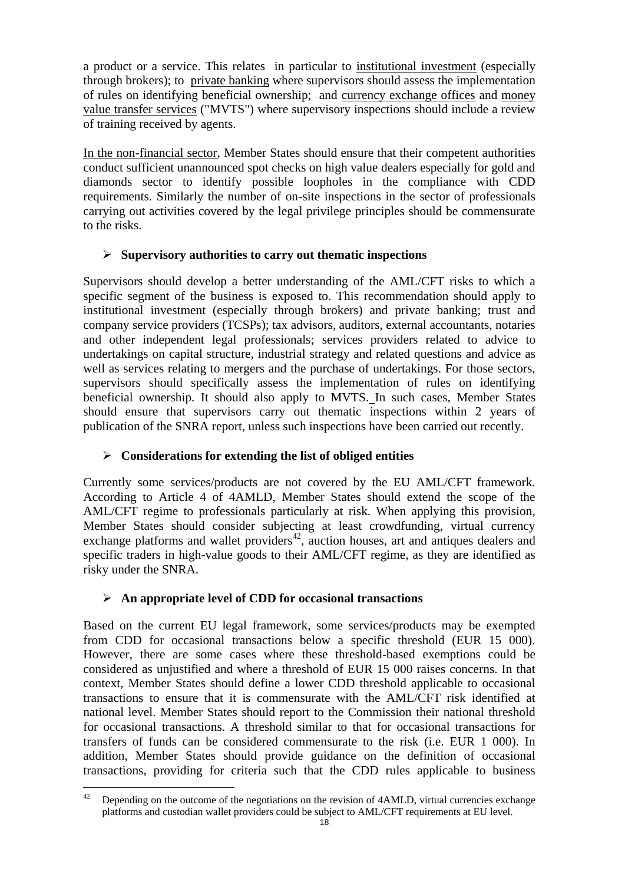a product or a service. This relates in particular to institutional investment (especially through brokers); to private banking where supervisors should assess the implementation of rules on identifying beneficial ownership; and currency exchange offices and money value transfer services ("MVTS") where supervisory inspections should include a review of training received by agents.

In the non-financial sector, Member States should ensure that their competent authorities conduct sufficient unannounced spot checks on high value dealers especially for gold and diamonds sector to identify possible loopholes in the compliance with CDD requirements. Similarly the number of on-site inspections in the sector of professionals carrying out activities covered by the legal privilege principles should be commensurate to the risks.

## **Supervisory authorities to carry out thematic inspections**

Supervisors should develop a better understanding of the AML/CFT risks to which a specific segment of the business is exposed to. This recommendation should apply to institutional investment (especially through brokers) and private banking; trust and company service providers (TCSPs); tax advisors, auditors, external accountants, notaries and other independent legal professionals; services providers related to advice to undertakings on capital structure, industrial strategy and related questions and advice as well as services relating to mergers and the purchase of undertakings. For those sectors, supervisors should specifically assess the implementation of rules on identifying beneficial ownership. It should also apply to MVTS. In such cases, Member States should ensure that supervisors carry out thematic inspections within 2 years of publication of the SNRA report, unless such inspections have been carried out recently.

## **Considerations for extending the list of obliged entities**

Currently some services/products are not covered by the EU AML/CFT framework. According to Article 4 of 4AMLD, Member States should extend the scope of the AML/CFT regime to professionals particularly at risk. When applying this provision, Member States should consider subjecting at least crowdfunding, virtual currency exchange platforms and wallet providers $42$ , auction houses, art and antiques dealers and specific traders in high-value goods to their AML/CFT regime, as they are identified as risky under the SNRA.

# **An appropriate level of CDD for occasional transactions**

Based on the current EU legal framework, some services/products may be exempted from CDD for occasional transactions below a specific threshold (EUR 15 000). However, there are some cases where these threshold-based exemptions could be considered as unjustified and where a threshold of EUR 15 000 raises concerns. In that context, Member States should define a lower CDD threshold applicable to occasional transactions to ensure that it is commensurate with the AML/CFT risk identified at national level. Member States should report to the Commission their national threshold for occasional transactions. A threshold similar to that for occasional transactions for transfers of funds can be considered commensurate to the risk (i.e. EUR 1 000). In addition, Member States should provide guidance on the definition of occasional transactions, providing for criteria such that the CDD rules applicable to business

 $42$ Depending on the outcome of the negotiations on the revision of 4AMLD, virtual currencies exchange platforms and custodian wallet providers could be subject to AML/CFT requirements at EU level.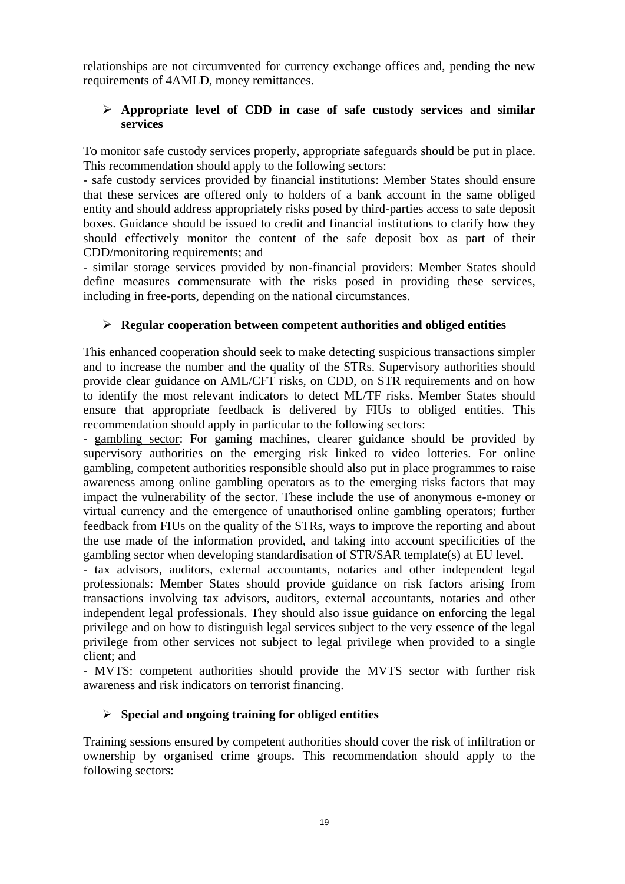relationships are not circumvented for currency exchange offices and, pending the new requirements of 4AMLD, money remittances.

### **Appropriate level of CDD in case of safe custody services and similar services**

To monitor safe custody services properly, appropriate safeguards should be put in place. This recommendation should apply to the following sectors:

- safe custody services provided by financial institutions: Member States should ensure that these services are offered only to holders of a bank account in the same obliged entity and should address appropriately risks posed by third-parties access to safe deposit boxes. Guidance should be issued to credit and financial institutions to clarify how they should effectively monitor the content of the safe deposit box as part of their CDD/monitoring requirements; and

- similar storage services provided by non-financial providers: Member States should define measures commensurate with the risks posed in providing these services, including in free-ports, depending on the national circumstances.

## **Regular cooperation between competent authorities and obliged entities**

This enhanced cooperation should seek to make detecting suspicious transactions simpler and to increase the number and the quality of the STRs. Supervisory authorities should provide clear guidance on AML/CFT risks, on CDD, on STR requirements and on how to identify the most relevant indicators to detect ML/TF risks. Member States should ensure that appropriate feedback is delivered by FIUs to obliged entities. This recommendation should apply in particular to the following sectors:

- gambling sector: For gaming machines, clearer guidance should be provided by supervisory authorities on the emerging risk linked to video lotteries. For online gambling, competent authorities responsible should also put in place programmes to raise awareness among online gambling operators as to the emerging risks factors that may impact the vulnerability of the sector. These include the use of anonymous e-money or virtual currency and the emergence of unauthorised online gambling operators; further feedback from FIUs on the quality of the STRs, ways to improve the reporting and about the use made of the information provided, and taking into account specificities of the gambling sector when developing standardisation of STR/SAR template(s) at EU level.

- tax advisors, auditors, external accountants, notaries and other independent legal professionals: Member States should provide guidance on risk factors arising from transactions involving tax advisors, auditors, external accountants, notaries and other independent legal professionals. They should also issue guidance on enforcing the legal privilege and on how to distinguish legal services subject to the very essence of the legal privilege from other services not subject to legal privilege when provided to a single client; and

- MVTS: competent authorities should provide the MVTS sector with further risk awareness and risk indicators on terrorist financing.

## **Special and ongoing training for obliged entities**

Training sessions ensured by competent authorities should cover the risk of infiltration or ownership by organised crime groups. This recommendation should apply to the following sectors: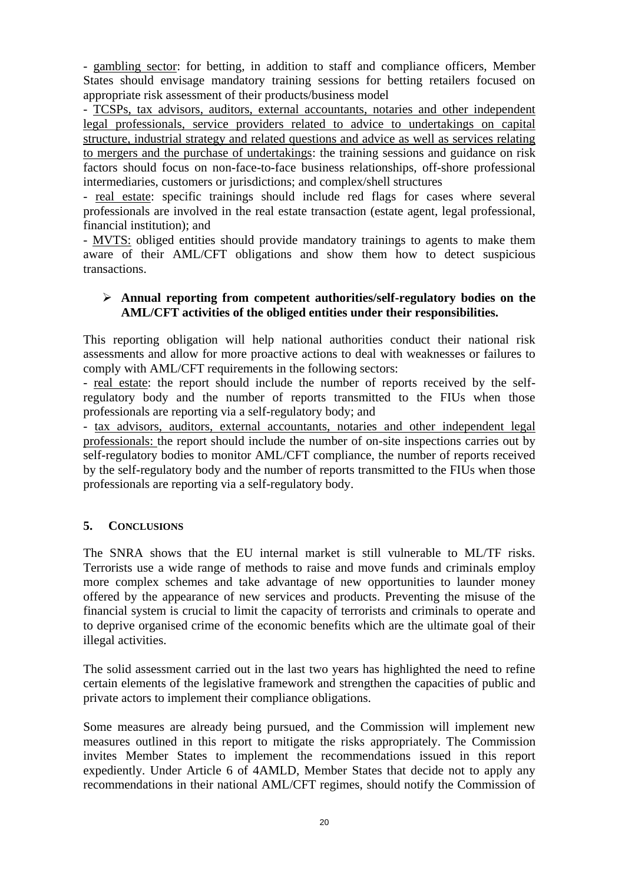- gambling sector: for betting, in addition to staff and compliance officers, Member States should envisage mandatory training sessions for betting retailers focused on appropriate risk assessment of their products/business model

- TCSPs, tax advisors, auditors, external accountants, notaries and other independent legal professionals, service providers related to advice to undertakings on capital structure, industrial strategy and related questions and advice as well as services relating to mergers and the purchase of undertakings: the training sessions and guidance on risk factors should focus on non-face-to-face business relationships, off-shore professional intermediaries, customers or jurisdictions; and complex/shell structures

- real estate: specific trainings should include red flags for cases where several professionals are involved in the real estate transaction (estate agent, legal professional, financial institution); and

- MVTS: obliged entities should provide mandatory trainings to agents to make them aware of their AML/CFT obligations and show them how to detect suspicious transactions.

### **Annual reporting from competent authorities/self-regulatory bodies on the AML/CFT activities of the obliged entities under their responsibilities.**

This reporting obligation will help national authorities conduct their national risk assessments and allow for more proactive actions to deal with weaknesses or failures to comply with AML/CFT requirements in the following sectors:

- real estate: the report should include the number of reports received by the selfregulatory body and the number of reports transmitted to the FIUs when those professionals are reporting via a self-regulatory body; and

- tax advisors, auditors, external accountants, notaries and other independent legal professionals: the report should include the number of on-site inspections carries out by self-regulatory bodies to monitor AML/CFT compliance, the number of reports received by the self-regulatory body and the number of reports transmitted to the FIUs when those professionals are reporting via a self-regulatory body.

## **5. CONCLUSIONS**

The SNRA shows that the EU internal market is still vulnerable to ML/TF risks. Terrorists use a wide range of methods to raise and move funds and criminals employ more complex schemes and take advantage of new opportunities to launder money offered by the appearance of new services and products. Preventing the misuse of the financial system is crucial to limit the capacity of terrorists and criminals to operate and to deprive organised crime of the economic benefits which are the ultimate goal of their illegal activities.

The solid assessment carried out in the last two years has highlighted the need to refine certain elements of the legislative framework and strengthen the capacities of public and private actors to implement their compliance obligations.

Some measures are already being pursued, and the Commission will implement new measures outlined in this report to mitigate the risks appropriately. The Commission invites Member States to implement the recommendations issued in this report expediently. Under Article 6 of 4AMLD, Member States that decide not to apply any recommendations in their national AML/CFT regimes, should notify the Commission of